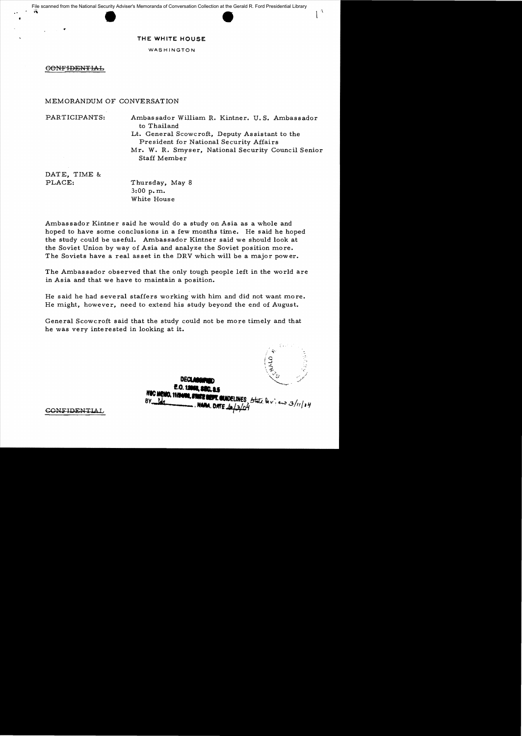## **THE WHITE HOUSE**

WASHINGTON

**CONFIDENTIAL** 

MEMORANDUM OF CONVERSATION

PARTICIPANTS: Ambassador William R. Kintner. U. S. Ambassador to Thailand Lt. General Scowcroft, Deputy Assistant to the President for National Security Affairs Mr. W. R. Smyser, National Security Council Senior

Staff Member

DATE, TIME &

PLACE: Thursday, May 8 3:00 p. m. White House

Ambassador Kintner said he would do a study on Asia as a whole and hoped to have some conclusions in a few months time. He said he hoped the study could be useful. Ambassador Kintner said we should look at the Soviet Union by way of Asia and analyze the Soviet position more. The Soviets have a real asset in the DRV which will be a major power.

The Ambassador observed that the only tough people left in the world are in Asia and that we have to maintain a position.

He said he had several staffers working with him and did not want more. He might, however, need to extend his study beyond the end of August.

General Scowcroft said that the study could not be more timely and that he was *very* interested in looking at it.

DECL.

 $\sim$ 

 $1^{\mathcal{A}}$ 

**E.O. 1300** NOC MEMO, 11/24/08, 2700 **NWELINES** State keview 3/11/04  $BY$   $100$ 

**GONFIDENTIAL**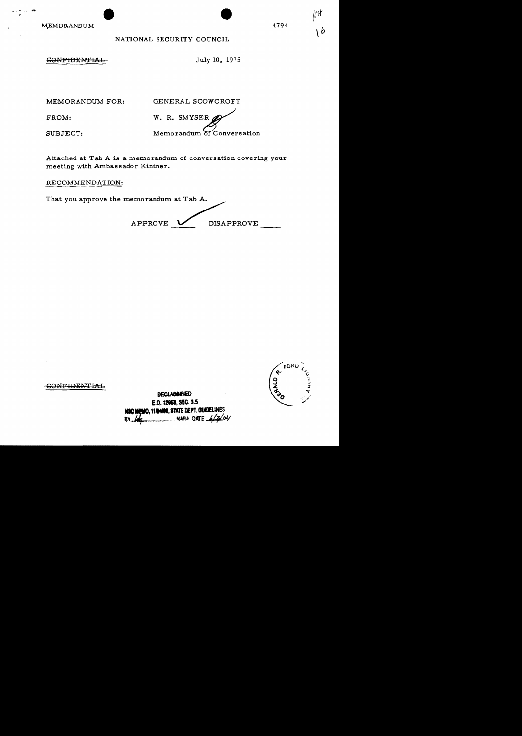MEMORANDUM

## NATIONAL SECURITY COUNCIL

**GONFIDENTIAL** 

July 10, 1975

4794

MEMORANDUM FOR:

GENERAL SCOWCROFT

FROM:

W. R. SMYSER Memorandum of Conversation

SUBJECT:

Attached at Tab A is a memorandum of conversation covering your meeting with Ambassador Kintner.

RECOMMENDATION:

That you approve the memorandum at Tab A. APPROVE DISAPPROVE

**CONFIDENTIAL** 

**DECLASSIFIED** E.O. 12058, SEC. 3.5 **IEMO, 11/24/08. STATE DEPT. GUIDELINES** NARA DATE.